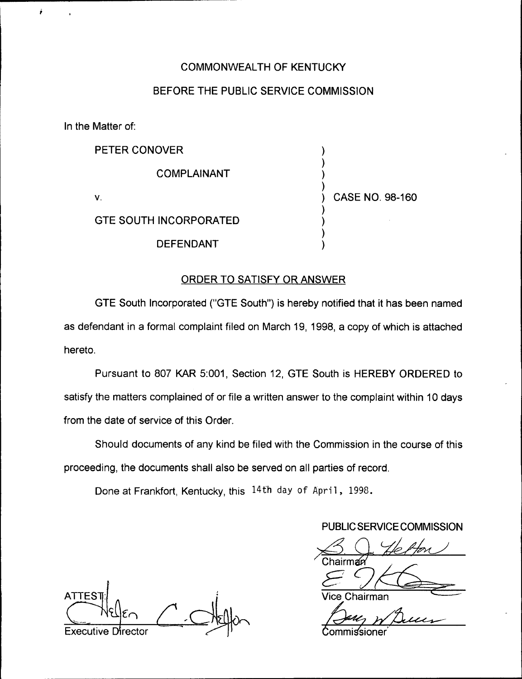# COMMONWEALTH OF KENTUCKY

# BEFORE THE PUBLIC SERVICE COMMISSION

In the Matter of:

 $\tilde{\mathbf{r}}$ 

| PETER CONOVER                 |                 |
|-------------------------------|-----------------|
| COMPLAINANT                   |                 |
| v.                            | CASE NO. 98-160 |
| <b>GTE SOUTH INCORPORATED</b> |                 |
| <b>DEFENDANT</b>              |                 |

## ORDER TO SATISFY OR ANSWER

GTE South Incorporated ("GTE South") is hereby notified that it has been name as defendant in a formal complaint filed on March 19, 1998, a copy of which is attached hereto.

Pursuant to 807 KAR 5:001, Section 12, GTE South is HEREBY ORDERED to satisfy the matters complained of or file a written answer to the complaint within 10 days from the date of service of this Order.

Should documents of any kind be filed with the Commission in the course of this proceeding, the documents shall also be served on all parties of record.

Done at Frankfort, Kentucky, this 14th day of April, 1998.

## PUBLIC SERVICE COMMISSION

าairman

Chairman

**ATTES** Executive Director Commissioner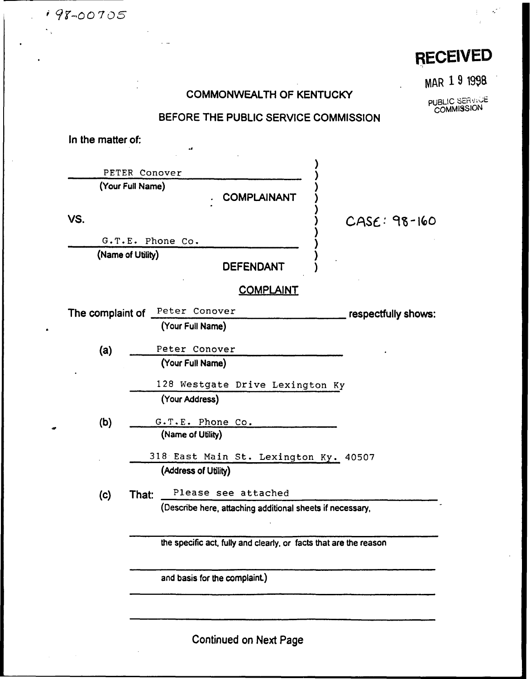198-00705

# RECElVED

# COMMONWEALTH OF KENTUCKY

WAAR 19 <sup>1998</sup>

**PUBLIC SERVICE**<br>COMMISSION

# BEFORE THE PUBLIC SERVICE COMMISSION

In the matter of:

 $\overline{a}$ 

| PETER Conover     |                                                                   |                     |
|-------------------|-------------------------------------------------------------------|---------------------|
| (Your Full Name)  | <b>COMPLAINANT</b>                                                |                     |
| VS.               |                                                                   | $CASE: 98-160$      |
|                   | G.T.E. Phone Co.                                                  |                     |
| (Name of Utility) | <b>DEFENDANT</b>                                                  |                     |
|                   | <u>COMPLAINT</u>                                                  |                     |
| The complaint of  | Peter Conover                                                     | respectfully shows: |
|                   | (Your Full Name)                                                  |                     |
| (a)               | Peter Conover                                                     |                     |
|                   | (Your Full Name)                                                  |                     |
|                   | 128 Westgate Drive Lexington Ky                                   |                     |
|                   | (Your Address)                                                    |                     |
| (b)               | G.T.E. Phone Co.                                                  |                     |
|                   | (Name of Utility)                                                 |                     |
|                   | 318 East Main St. Lexington Ky. 40507                             |                     |
|                   | (Address of Utility)                                              |                     |
| That:<br>(c)      | Please see attached                                               |                     |
|                   | (Describe here, attaching additional sheets if necessary,         |                     |
|                   | the specific act, fully and clearly, or facts that are the reason |                     |
|                   | and basis for the complaint.)                                     |                     |
|                   |                                                                   |                     |

Continued on Next Page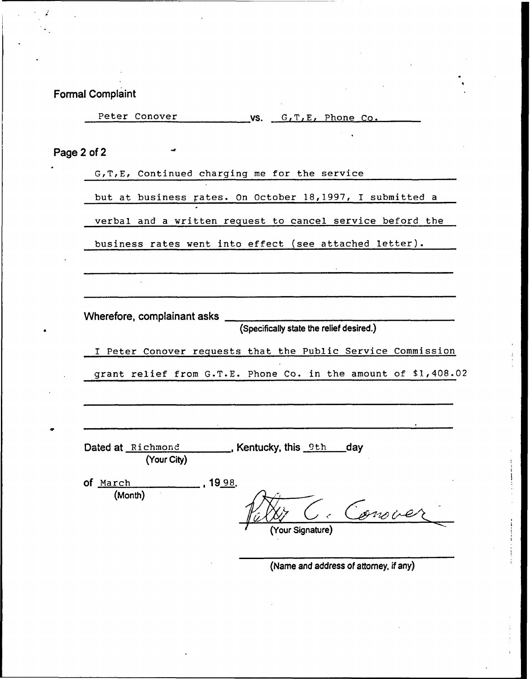| <b>Formal Complaint</b>                                                    |
|----------------------------------------------------------------------------|
| Peter Conover<br>$\sim$ VS. $G, T, E$ , Phone Co.                          |
| حد<br>Page 2 of 2                                                          |
| G, T, E, Continued charging me for the service                             |
| but at business rates. On October 18,1997, I submitted a                   |
| verbal and a written request to cancel service beford the                  |
| business rates went into effect (see attached letter).                     |
|                                                                            |
|                                                                            |
|                                                                            |
| (Specifically state the relief desired.)                                   |
| I Peter Conover requests that the Public Service Commission                |
| grant relief from G.T.E. Phone Co. in the amount of \$1,408.02             |
|                                                                            |
|                                                                            |
| Dated at Richmond <b>Example 2</b> , Kentucky, this 9th day<br>(Your City) |
| of March<br>19 <u>98</u> .                                                 |
| (Month)<br>anove<br><b>Your Signature</b>                                  |
|                                                                            |

 $\sim$ 

l,

 $\epsilon$ 

(Name and address of attorney, if any)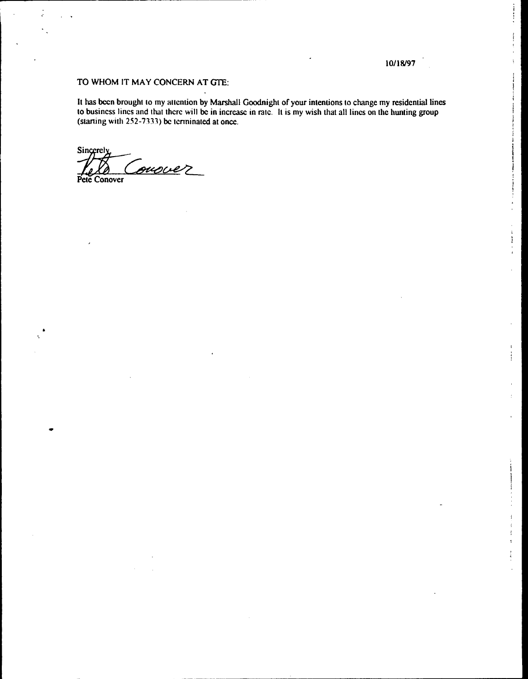#### 10/18/97

 $\frac{1}{2}$ 

 $\ddot{\phantom{a}}$ ŧ

j

 $\overline{\mathbf{A}}$ ÷

### TO WHOM IT MAY CONCERN AT GTE:

It has been brought to my attention by Marshall Goodnight of your intentions to change my residential lines to business lines and that thcrc will be in increase in rate. It is my wish that all lines on the hunting group (starting with  $252-7333$ ) be terminated at once.

Sincerely ouscer Pete Conover